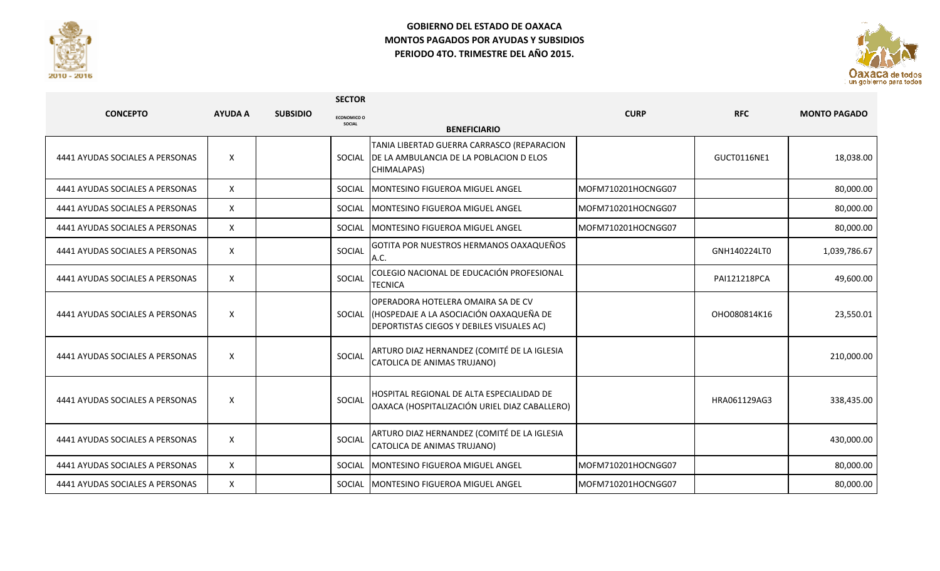

## **GOBIERNO DEL ESTADO DE OAXACA MONTOS PAGADOS POR AYUDAS Y SUBSIDIOS PERIODO 4TO. TRIMESTRE DEL AÑO 2015.**



|                                 |                    |                 | <b>SECTOR</b>                |                                                                                                                                   |                    |              |                     |
|---------------------------------|--------------------|-----------------|------------------------------|-----------------------------------------------------------------------------------------------------------------------------------|--------------------|--------------|---------------------|
| <b>CONCEPTO</b>                 | <b>AYUDA A</b>     | <b>SUBSIDIO</b> | <b>ECONOMICO O</b><br>SOCIAL |                                                                                                                                   | <b>CURP</b>        | <b>RFC</b>   | <b>MONTO PAGADO</b> |
|                                 |                    |                 |                              | <b>BENEFICIARIO</b>                                                                                                               |                    |              |                     |
| 4441 AYUDAS SOCIALES A PERSONAS | X                  |                 | SOCIAL                       | TANIA LIBERTAD GUERRA CARRASCO (REPARACION<br>DE LA AMBULANCIA DE LA POBLACION D ELOS<br>CHIMALAPAS)                              |                    | GUCT0116NE1  | 18,038.00           |
| 4441 AYUDAS SOCIALES A PERSONAS | $\mathsf{X}$       |                 | SOCIAL                       | MONTESINO FIGUEROA MIGUEL ANGEL                                                                                                   | MOFM710201HOCNGG07 |              | 80,000.00           |
| 4441 AYUDAS SOCIALES A PERSONAS | X                  |                 | SOCIAL                       | <b>MONTESINO FIGUEROA MIGUEL ANGEL</b>                                                                                            | MOFM710201HOCNGG07 |              | 80,000.00           |
| 4441 AYUDAS SOCIALES A PERSONAS | X                  |                 | SOCIAL                       | <b>IMONTESINO FIGUEROA MIGUEL ANGEL</b>                                                                                           | MOFM710201HOCNGG07 |              | 80,000.00           |
| 4441 AYUDAS SOCIALES A PERSONAS | $\mathsf{X}$       |                 | SOCIAL                       | GOTITA POR NUESTROS HERMANOS OAXAQUEÑOS<br>A.C.                                                                                   |                    | GNH140224LT0 | 1,039,786.67        |
| 4441 AYUDAS SOCIALES A PERSONAS | X                  |                 | SOCIAL                       | COLEGIO NACIONAL DE EDUCACIÓN PROFESIONAL<br><b>TECNICA</b>                                                                       |                    | PAI121218PCA | 49,600.00           |
| 4441 AYUDAS SOCIALES A PERSONAS | $\pmb{\mathsf{X}}$ |                 |                              | OPERADORA HOTELERA OMAIRA SA DE CV<br>SOCIAL (HOSPEDAJE A LA ASOCIACIÓN OAXAQUEÑA DE<br>DEPORTISTAS CIEGOS Y DEBILES VISUALES AC) |                    | OHO080814K16 | 23,550.01           |
| 4441 AYUDAS SOCIALES A PERSONAS | X                  |                 | SOCIAL                       | ARTURO DIAZ HERNANDEZ (COMITÉ DE LA IGLESIA<br>CATOLICA DE ANIMAS TRUJANO)                                                        |                    |              | 210,000.00          |
| 4441 AYUDAS SOCIALES A PERSONAS | X                  |                 | SOCIAL                       | HOSPITAL REGIONAL DE ALTA ESPECIALIDAD DE<br>OAXACA (HOSPITALIZACIÓN URIEL DIAZ CABALLERO)                                        |                    | HRA061129AG3 | 338,435.00          |
| 4441 AYUDAS SOCIALES A PERSONAS | X                  |                 | SOCIAL                       | ARTURO DIAZ HERNANDEZ (COMITÉ DE LA IGLESIA<br>CATOLICA DE ANIMAS TRUJANO)                                                        |                    |              | 430,000.00          |
| 4441 AYUDAS SOCIALES A PERSONAS | X                  |                 | SOCIAL                       | MONTESINO FIGUEROA MIGUEL ANGEL                                                                                                   | MOFM710201HOCNGG07 |              | 80,000.00           |
| 4441 AYUDAS SOCIALES A PERSONAS | X                  |                 |                              | SOCIAL MONTESINO FIGUEROA MIGUEL ANGEL                                                                                            | MOFM710201HOCNGG07 |              | 80,000.00           |

**SECTOR**